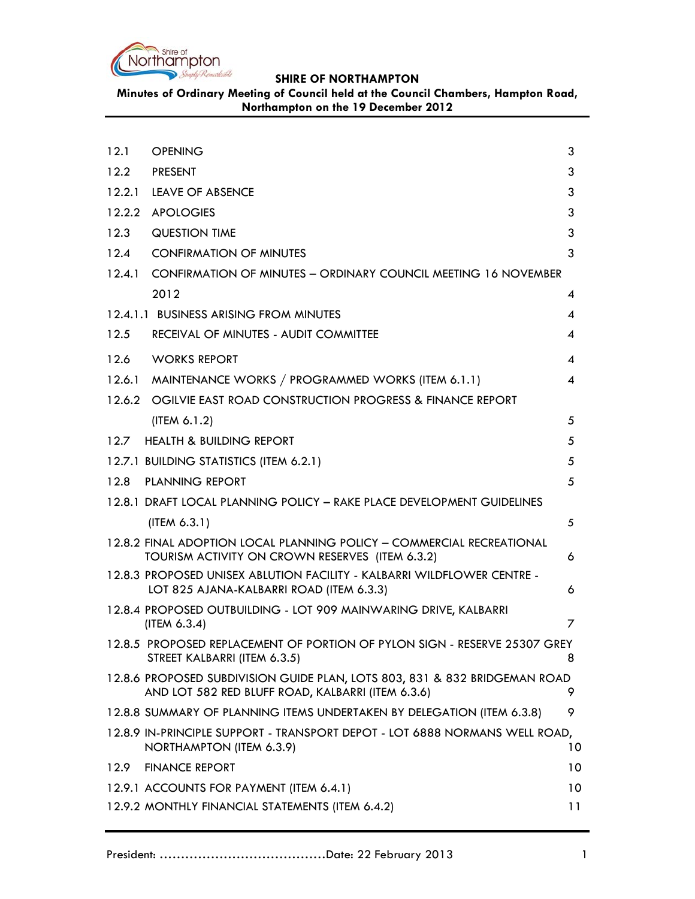

**Minutes of Ordinary Meeting of Council held at the Council Chambers, Hampton Road, Northampton on the 19 December 2012**

| 12.1   | <b>OPENING</b>                                                                                                                  | 3  |
|--------|---------------------------------------------------------------------------------------------------------------------------------|----|
| 12.2   | PRESENT                                                                                                                         | 3  |
|        | 12.2.1 LEAVE OF ABSENCE                                                                                                         | 3  |
|        | 12.2.2 APOLOGIES                                                                                                                | 3  |
| 12.3   | <b>QUESTION TIME</b>                                                                                                            | 3  |
| 12.4   | <b>CONFIRMATION OF MINUTES</b>                                                                                                  | 3  |
|        | 12.4.1 CONFIRMATION OF MINUTES - ORDINARY COUNCIL MEETING 16 NOVEMBER                                                           |    |
|        | 2012                                                                                                                            | 4  |
|        | 12.4.1.1 BUSINESS ARISING FROM MINUTES                                                                                          | 4  |
| 12.5   | RECEIVAL OF MINUTES - AUDIT COMMITTEE                                                                                           | 4  |
| 12.6   | <b>WORKS REPORT</b>                                                                                                             | 4  |
| 12.6.1 | MAINTENANCE WORKS / PROGRAMMED WORKS (ITEM 6.1.1)                                                                               | 4  |
|        | 12.6.2 OGILVIE EAST ROAD CONSTRUCTION PROGRESS & FINANCE REPORT                                                                 |    |
|        | (ITER 6.1.2)                                                                                                                    | 5  |
|        | 12.7 HEALTH & BUILDING REPORT                                                                                                   | 5  |
|        | 12.7.1 BUILDING STATISTICS (ITEM 6.2.1)                                                                                         | 5  |
| 12.8   | <b>PLANNING REPORT</b>                                                                                                          | 5  |
|        | 12.8.1 DRAFT LOCAL PLANNING POLICY - RAKE PLACE DEVELOPMENT GUIDELINES                                                          |    |
|        | (IFEM 6.3.1)                                                                                                                    | 5  |
|        | 12.8.2 FINAL ADOPTION LOCAL PLANNING POLICY - COMMERCIAL RECREATIONAL<br>TOURISM ACTIVITY ON CROWN RESERVES (ITEM 6.3.2)        | 6  |
|        | 12.8.3 PROPOSED UNISEX ABLUTION FACILITY - KALBARRI WILDFLOWER CENTRE -<br>LOT 825 AJANA-KALBARRI ROAD (ITEM 6.3.3)             | 6  |
|        | 12.8.4 PROPOSED OUTBUILDING - LOT 909 MAINWARING DRIVE, KALBARRI<br>(ITERA 6.3.4)                                               | 7  |
|        | 12.8.5 PROPOSED REPLACEMENT OF PORTION OF PYLON SIGN - RESERVE 25307 GREY<br>STREET KALBARRI (ITEM 6.3.5)                       | 8  |
|        | 12.8.6 PROPOSED SUBDIVISION GUIDE PLAN, LOTS 803, 831 & 832 BRIDGEMAN ROAD<br>AND LOT 582 RED BLUFF ROAD, KALBARRI (ITEM 6.3.6) | 9  |
|        | 12.8.8 SUMMARY OF PLANNING ITEMS UNDERTAKEN BY DELEGATION (ITEM 6.3.8)                                                          | 9  |
|        | 12.8.9 IN-PRINCIPLE SUPPORT - TRANSPORT DEPOT - LOT 6888 NORMANS WELL ROAD,<br>NORTHAMPTON (ITEM 6.3.9)                         | 10 |
| 12.9   | <b>FINANCE REPORT</b>                                                                                                           | 10 |
|        | 12.9.1 ACCOUNTS FOR PAYMENT (ITEM 6.4.1)                                                                                        | 10 |
|        | 12.9.2 MONTHLY FINANCIAL STATEMENTS (ITEM 6.4.2)                                                                                | 11 |
|        |                                                                                                                                 |    |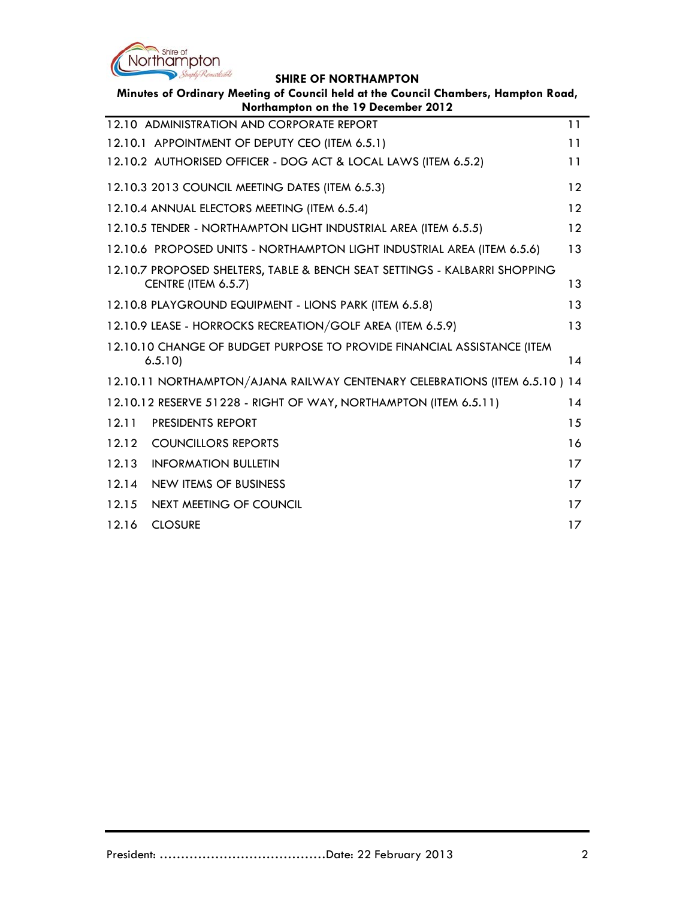

| Minutes of Ordinary Meeting of Council held at the Council Chambers, Hampton Road, |                                                                                  |    |  |  |  |
|------------------------------------------------------------------------------------|----------------------------------------------------------------------------------|----|--|--|--|
|                                                                                    | Northampton on the 19 December 2012<br>12.10 ADMINISTRATION AND CORPORATE REPORT | 11 |  |  |  |
|                                                                                    |                                                                                  |    |  |  |  |
|                                                                                    | 12.10.1 APPOINTMENT OF DEPUTY CEO (ITEM 6.5.1)                                   | 11 |  |  |  |
|                                                                                    | 12.10.2 AUTHORISED OFFICER - DOG ACT & LOCAL LAWS (ITEM 6.5.2)                   | 11 |  |  |  |
|                                                                                    | 12.10.3 2013 COUNCIL MEETING DATES (ITEM 6.5.3)                                  | 12 |  |  |  |
|                                                                                    | 12.10.4 ANNUAL ELECTORS MEETING (ITEM 6.5.4)                                     | 12 |  |  |  |
|                                                                                    | 12.10.5 TENDER - NORTHAMPTON LIGHT INDUSTRIAL AREA (ITEM 6.5.5)                  | 12 |  |  |  |
|                                                                                    | 12.10.6 PROPOSED UNITS - NORTHAMPTON LIGHT INDUSTRIAL AREA (ITEM 6.5.6)          | 13 |  |  |  |
|                                                                                    | 12.10.7 PROPOSED SHELTERS, TABLE & BENCH SEAT SETTINGS - KALBARRI SHOPPING       |    |  |  |  |
|                                                                                    | CENTRE (ITEM 6.5.7)                                                              | 13 |  |  |  |
|                                                                                    | 12.10.8 PLAYGROUND EQUIPMENT - LIONS PARK (ITEM 6.5.8)                           | 13 |  |  |  |
|                                                                                    | 12.10.9 LEASE - HORROCKS RECREATION/GOLF AREA (ITEM 6.5.9)                       | 13 |  |  |  |
| 12.10.10 CHANGE OF BUDGET PURPOSE TO PROVIDE FINANCIAL ASSISTANCE (ITEM            |                                                                                  |    |  |  |  |
|                                                                                    | 6.5.10                                                                           | 14 |  |  |  |
|                                                                                    | 12.10.11 NORTHAMPTON/AJANA RAILWAY CENTENARY CELEBRATIONS (ITEM 6.5.10) 14       |    |  |  |  |
|                                                                                    | 12.10.12 RESERVE 51228 - RIGHT OF WAY, NORTHAMPTON (ITEM 6.5.11)                 | 14 |  |  |  |
| 12.11                                                                              | PRESIDENTS REPORT                                                                | 15 |  |  |  |
| 12.12                                                                              | <b>COUNCILLORS REPORTS</b>                                                       | 16 |  |  |  |
| 12.13                                                                              | <b>INFORMATION BULLETIN</b>                                                      | 17 |  |  |  |
| 12.14                                                                              | NEW ITEMS OF BUSINESS                                                            | 17 |  |  |  |
| 12.15                                                                              | NEXT MEETING OF COUNCIL                                                          | 17 |  |  |  |
| 12.16                                                                              | <b>CLOSURE</b>                                                                   | 17 |  |  |  |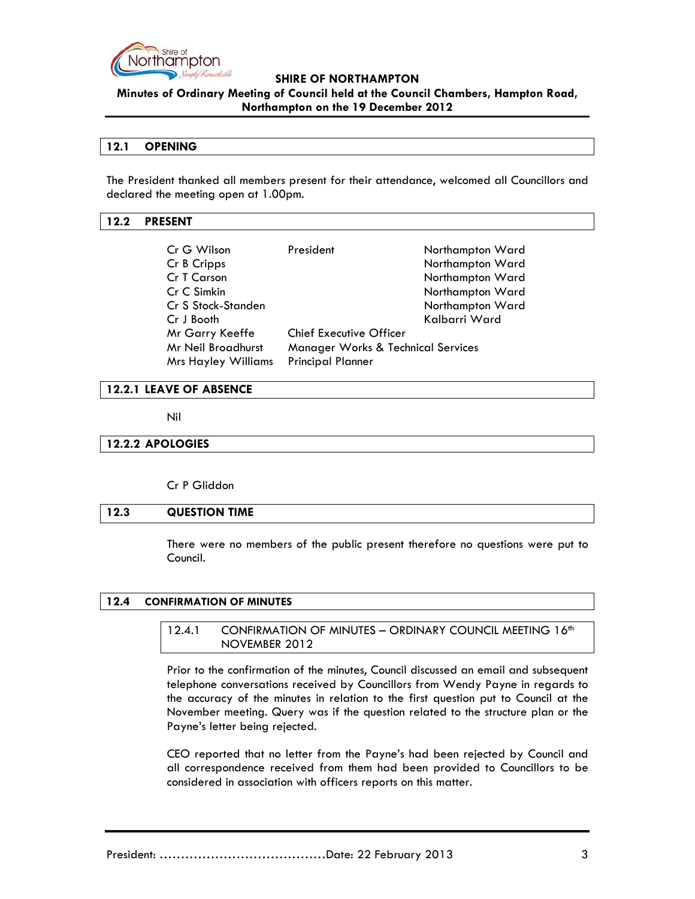

**Minutes of Ordinary Meeting of Council held at the Council Chambers, Hampton Road, Northampton on the 19 December 2012**

### **12.1 OPENING**

The President thanked all members present for their attendance, welcomed all Councillors and declared the meeting open at 1.00pm.

#### **12.2 PRESENT**

| Cr G Wilson<br>Cr B Cripps<br>Cr T Carson<br>Cr C Simkin<br>Cr S Stock-Standen<br>Cr J Booth | President                                     | Northampton Ward<br>Northampton Ward<br>Northampton Ward<br>Northampton Ward<br>Northampton Ward<br>Kalbarri Ward |
|----------------------------------------------------------------------------------------------|-----------------------------------------------|-------------------------------------------------------------------------------------------------------------------|
| Mr Garry Keeffe                                                                              | <b>Chief Executive Officer</b>                |                                                                                                                   |
| Mr Neil Broadhurst                                                                           | <b>Manager Works &amp; Technical Services</b> |                                                                                                                   |
| <b>Mrs Hayley Williams</b>                                                                   | <b>Principal Planner</b>                      |                                                                                                                   |

## **12.2.1 LEAVE OF ABSENCE**

Nil

#### **12.2.2 APOLOGIES**

Cr P Gliddon

#### **12.3 QUESTION TIME**

There were no members of the public present therefore no questions were put to Council.

## **12.4 CONFIRMATION OF MINUTES**

## 12.4.1 CONFIRMATION OF MINUTES - ORDINARY COUNCIL MEETING 16<sup>th</sup> NOVEMBER 2012

Prior to the confirmation of the minutes, Council discussed an email and subsequent telephone conversations received by Councillors from Wendy Payne in regards to the accuracy of the minutes in relation to the first question put to Council at the November meeting. Query was if the question related to the structure plan or the Payne's letter being rejected.

CEO reported that no letter from the Payne's had been rejected by Council and all correspondence received from them had been provided to Councillors to be considered in association with officers reports on this matter.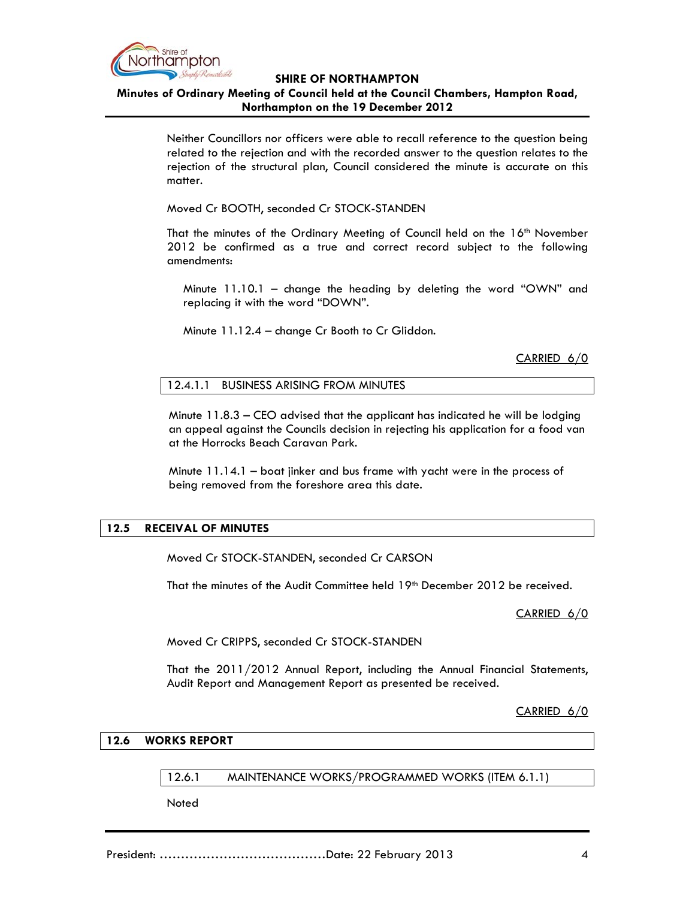

# **Minutes of Ordinary Meeting of Council held at the Council Chambers, Hampton Road, Northampton on the 19 December 2012**

Neither Councillors nor officers were able to recall reference to the question being related to the rejection and with the recorded answer to the question relates to the rejection of the structural plan, Council considered the minute is accurate on this matter.

Moved Cr BOOTH, seconded Cr STOCK-STANDEN

That the minutes of the Ordinary Meeting of Council held on the 16<sup>th</sup> November 2012 be confirmed as a true and correct record subject to the following amendments:

 Minute 11.10.1 – change the heading by deleting the word "OWN" and replacing it with the word "DOWN".

Minute 11.12.4 – change Cr Booth to Cr Gliddon.

CARRIED 6/0

12.4.1.1 BUSINESS ARISING FROM MINUTES

Minute 11.8.3 – CEO advised that the applicant has indicated he will be lodging an appeal against the Councils decision in rejecting his application for a food van at the Horrocks Beach Caravan Park.

Minute 11.14.1 – boat jinker and bus frame with yacht were in the process of being removed from the foreshore area this date.

# **12.5 RECEIVAL OF MINUTES**

Moved Cr STOCK-STANDEN, seconded Cr CARSON

That the minutes of the Audit Committee held 19th December 2012 be received.

CARRIED 6/0

Moved Cr CRIPPS, seconded Cr STOCK-STANDEN

That the 2011/2012 Annual Report, including the Annual Financial Statements, Audit Report and Management Report as presented be received.

CARRIED 6/0

## **12.6 WORKS REPORT**

12.6.1 MAINTENANCE WORKS/PROGRAMMED WORKS (ITEM 6.1.1)

**Noted**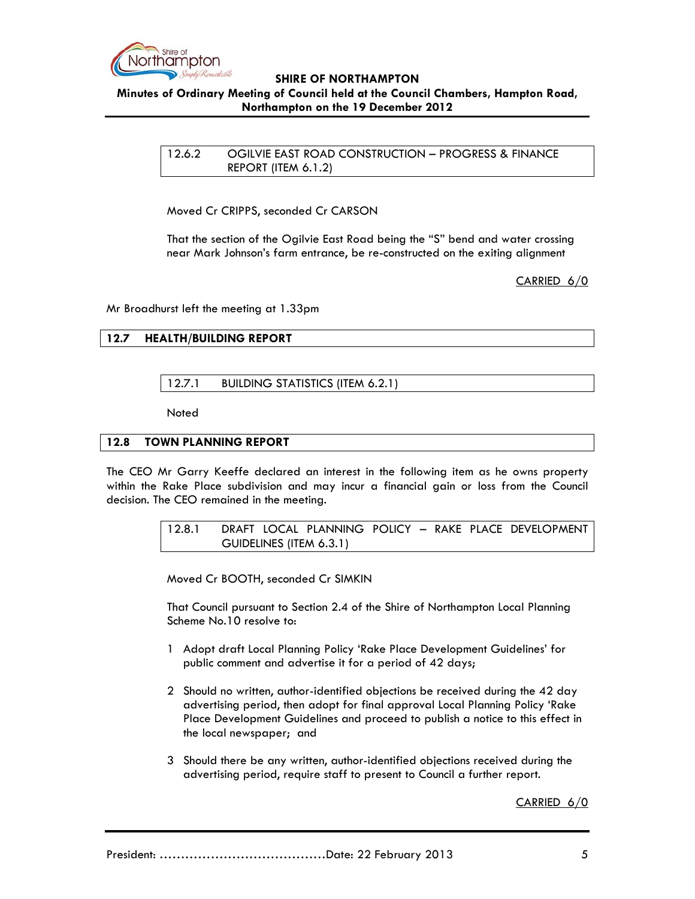

## **Minutes of Ordinary Meeting of Council held at the Council Chambers, Hampton Road, Northampton on the 19 December 2012**

12.6.2 OGILVIE EAST ROAD CONSTRUCTION – PROGRESS & FINANCE REPORT (ITEM 6.1.2)

Moved Cr CRIPPS, seconded Cr CARSON

That the section of the Ogilvie East Road being the "S" bend and water crossing near Mark Johnson's farm entrance, be re-constructed on the exiting alignment

CARRIED 6/0

Mr Broadhurst left the meeting at 1.33pm

# **12.7 HEALTH/BUILDING REPORT**

# 12.7.1 BUILDING STATISTICS (ITEM 6.2.1)

Noted

### **12.8 TOWN PLANNING REPORT**

The CEO Mr Garry Keeffe declared an interest in the following item as he owns property within the Rake Place subdivision and may incur a financial gain or loss from the Council decision. The CEO remained in the meeting.

> 12.8.1 DRAFT LOCAL PLANNING POLICY – RAKE PLACE DEVELOPMENT GUIDELINES (ITEM 6.3.1)

Moved Cr BOOTH, seconded Cr SIMKIN

That Council pursuant to Section 2.4 of the Shire of Northampton Local Planning Scheme No.10 resolve to:

- 1 Adopt draft Local Planning Policy 'Rake Place Development Guidelines' for public comment and advertise it for a period of 42 days;
- 2 Should no written, author-identified objections be received during the 42 day advertising period, then adopt for final approval Local Planning Policy 'Rake Place Development Guidelines and proceed to publish a notice to this effect in the local newspaper; and
- 3 Should there be any written, author-identified objections received during the advertising period, require staff to present to Council a further report.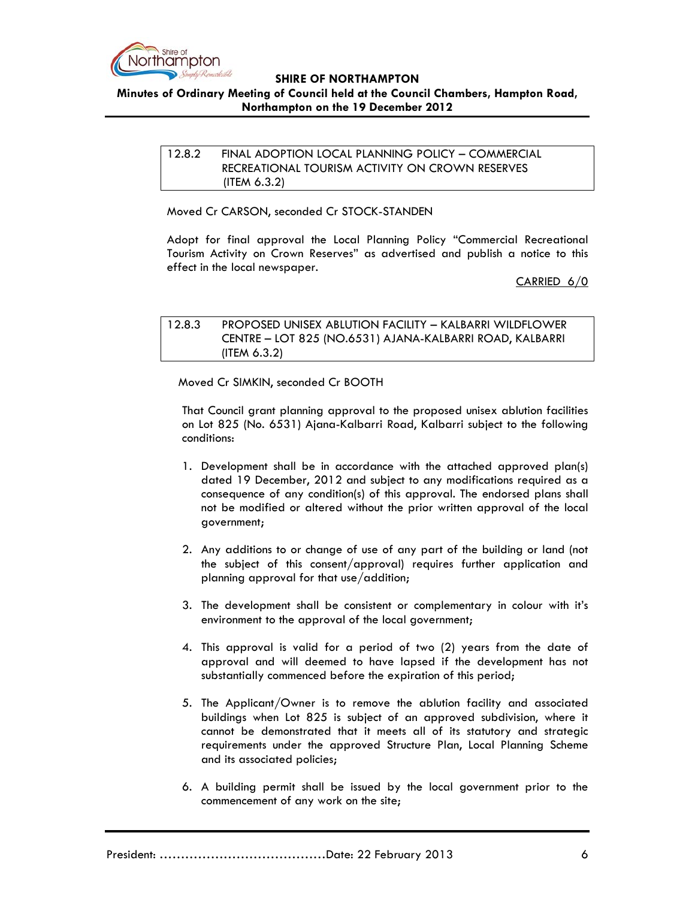

## **Minutes of Ordinary Meeting of Council held at the Council Chambers, Hampton Road, Northampton on the 19 December 2012**

## 12.8.2 FINAL ADOPTION LOCAL PLANNING POLICY – COMMERCIAL RECREATIONAL TOURISM ACTIVITY ON CROWN RESERVES (ITEM 6.3.2)

Moved Cr CARSON, seconded Cr STOCK-STANDEN

Adopt for final approval the Local Planning Policy "Commercial Recreational Tourism Activity on Crown Reserves" as advertised and publish a notice to this effect in the local newspaper.

CARRIED 6/0

12.8.3 PROPOSED UNISEX ABLUTION FACILITY – KALBARRI WILDFLOWER CENTRE – LOT 825 (NO.6531) AJANA-KALBARRI ROAD, KALBARRI (ITEM 6.3.2)

Moved Cr SIMKIN, seconded Cr BOOTH

That Council grant planning approval to the proposed unisex ablution facilities on Lot 825 (No. 6531) Ajana-Kalbarri Road, Kalbarri subject to the following conditions:

- 1. Development shall be in accordance with the attached approved plan(s) dated 19 December, 2012 and subject to any modifications required as a consequence of any condition(s) of this approval. The endorsed plans shall not be modified or altered without the prior written approval of the local government;
- 2. Any additions to or change of use of any part of the building or land (not the subject of this consent/approval) requires further application and planning approval for that use/addition;
- 3. The development shall be consistent or complementary in colour with it's environment to the approval of the local government;
- 4. This approval is valid for a period of two (2) years from the date of approval and will deemed to have lapsed if the development has not substantially commenced before the expiration of this period;
- 5. The Applicant/Owner is to remove the ablution facility and associated buildings when Lot 825 is subject of an approved subdivision, where it cannot be demonstrated that it meets all of its statutory and strategic requirements under the approved Structure Plan, Local Planning Scheme and its associated policies;
- 6. A building permit shall be issued by the local government prior to the commencement of any work on the site;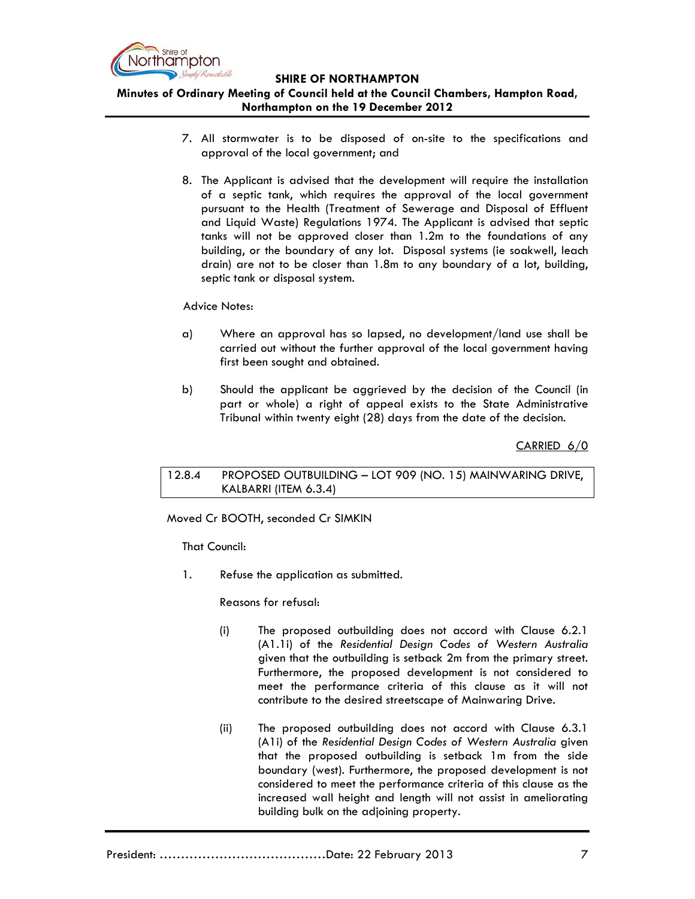

**Minutes of Ordinary Meeting of Council held at the Council Chambers, Hampton Road, Northampton on the 19 December 2012**

- 7. All stormwater is to be disposed of on-site to the specifications and approval of the local government; and
- 8. The Applicant is advised that the development will require the installation of a septic tank, which requires the approval of the local government pursuant to the Health (Treatment of Sewerage and Disposal of Effluent and Liquid Waste) Regulations 1974. The Applicant is advised that septic tanks will not be approved closer than 1.2m to the foundations of any building, or the boundary of any lot. Disposal systems (ie soakwell, leach drain) are not to be closer than 1.8m to any boundary of a lot, building, septic tank or disposal system.

### Advice Notes:

- a) Where an approval has so lapsed, no development/land use shall be carried out without the further approval of the local government having first been sought and obtained.
- b) Should the applicant be aggrieved by the decision of the Council (in part or whole) a right of appeal exists to the State Administrative Tribunal within twenty eight (28) days from the date of the decision.

CARRIED 6/0

12.8.4 PROPOSED OUTBUILDING – LOT 909 (NO. 15) MAINWARING DRIVE, KALBARRI (ITEM 6.3.4)

Moved Cr BOOTH, seconded Cr SIMKIN

That Council:

1. Refuse the application as submitted.

Reasons for refusal:

- (i) The proposed outbuilding does not accord with Clause 6.2.1 (A1.1i) of the *Residential Design Codes of Western Australia* given that the outbuilding is setback 2m from the primary street. Furthermore, the proposed development is not considered to meet the performance criteria of this clause as it will not contribute to the desired streetscape of Mainwaring Drive.
- (ii) The proposed outbuilding does not accord with Clause 6.3.1 (A1i) of the *Residential Design Codes of Western Australia* given that the proposed outbuilding is setback 1m from the side boundary (west). Furthermore, the proposed development is not considered to meet the performance criteria of this clause as the increased wall height and length will not assist in ameliorating building bulk on the adjoining property.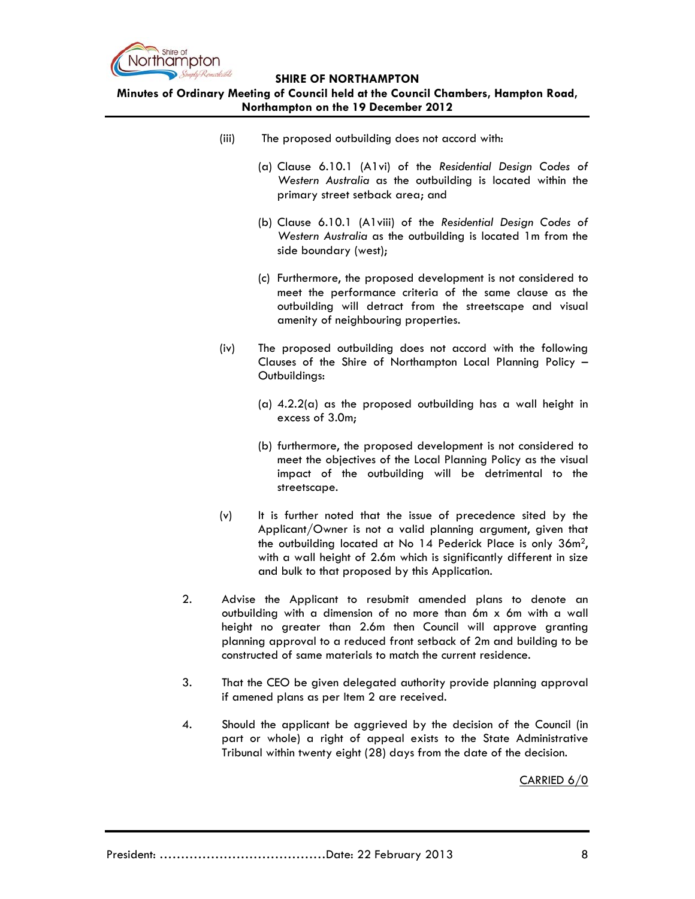

**Minutes of Ordinary Meeting of Council held at the Council Chambers, Hampton Road, Northampton on the 19 December 2012**

- (iii) The proposed outbuilding does not accord with:
	- (a) Clause 6.10.1 (A1vi) of the *Residential Design Codes of Western Australia* as the outbuilding is located within the primary street setback area; and
	- (b) Clause 6.10.1 (A1viii) of the *Residential Design Codes of Western Australia* as the outbuilding is located 1m from the side boundary (west);
	- (c) Furthermore, the proposed development is not considered to meet the performance criteria of the same clause as the outbuilding will detract from the streetscape and visual amenity of neighbouring properties.
- (iv) The proposed outbuilding does not accord with the following Clauses of the Shire of Northampton Local Planning Policy – Outbuildings:
	- (a)  $4.2.2(a)$  as the proposed outbuilding has a wall height in excess of 3.0m;
	- (b) furthermore, the proposed development is not considered to meet the objectives of the Local Planning Policy as the visual impact of the outbuilding will be detrimental to the streetscape.
- (v) It is further noted that the issue of precedence sited by the Applicant/Owner is not a valid planning argument, given that the outbuilding located at No 14 Pederick Place is only 36m2, with a wall height of 2.6m which is significantly different in size and bulk to that proposed by this Application.
- 2. Advise the Applicant to resubmit amended plans to denote an outbuilding with a dimension of no more than 6m x 6m with a wall height no greater than 2.6m then Council will approve granting planning approval to a reduced front setback of 2m and building to be constructed of same materials to match the current residence.
- 3. That the CEO be given delegated authority provide planning approval if amened plans as per Item 2 are received.
- 4. Should the applicant be aggrieved by the decision of the Council (in part or whole) a right of appeal exists to the State Administrative Tribunal within twenty eight (28) days from the date of the decision.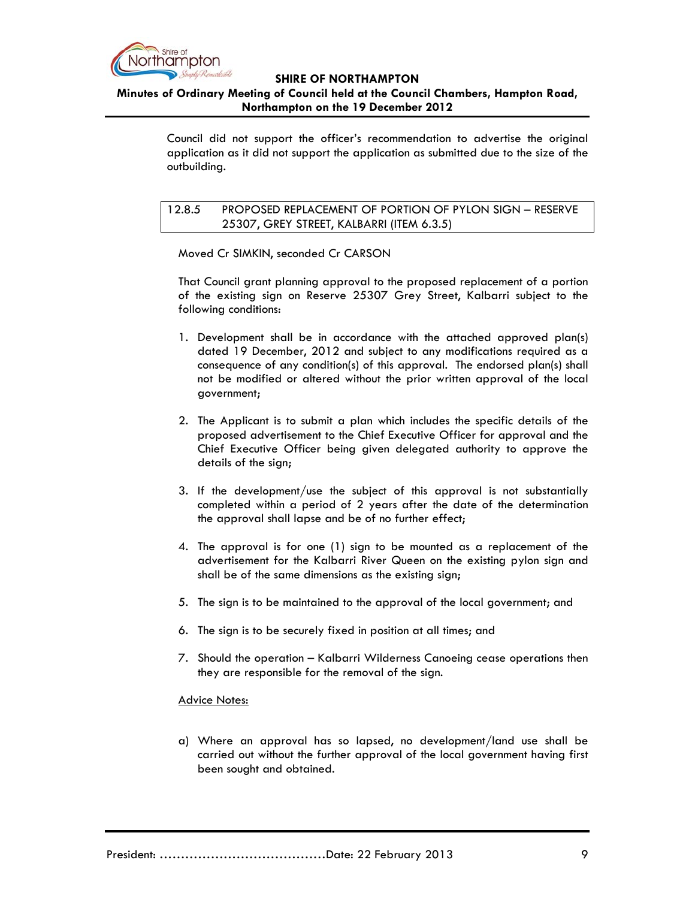

**Minutes of Ordinary Meeting of Council held at the Council Chambers, Hampton Road, Northampton on the 19 December 2012**

> Council did not support the officer's recommendation to advertise the original application as it did not support the application as submitted due to the size of the outbuilding.

12.8.5 PROPOSED REPLACEMENT OF PORTION OF PYLON SIGN – RESERVE 25307, GREY STREET, KALBARRI (ITEM 6.3.5)

Moved Cr SIMKIN, seconded Cr CARSON

That Council grant planning approval to the proposed replacement of a portion of the existing sign on Reserve 25307 Grey Street, Kalbarri subject to the following conditions:

- 1. Development shall be in accordance with the attached approved plan(s) dated 19 December, 2012 and subject to any modifications required as a consequence of any condition(s) of this approval. The endorsed plan(s) shall not be modified or altered without the prior written approval of the local government;
- 2. The Applicant is to submit a plan which includes the specific details of the proposed advertisement to the Chief Executive Officer for approval and the Chief Executive Officer being given delegated authority to approve the details of the sign;
- 3. If the development/use the subject of this approval is not substantially completed within a period of 2 years after the date of the determination the approval shall lapse and be of no further effect;
- 4. The approval is for one (1) sign to be mounted as a replacement of the advertisement for the Kalbarri River Queen on the existing pylon sign and shall be of the same dimensions as the existing sign;
- 5. The sign is to be maintained to the approval of the local government; and
- 6. The sign is to be securely fixed in position at all times; and
- 7. Should the operation Kalbarri Wilderness Canoeing cease operations then they are responsible for the removal of the sign.

### Advice Notes:

a) Where an approval has so lapsed, no development/land use shall be carried out without the further approval of the local government having first been sought and obtained.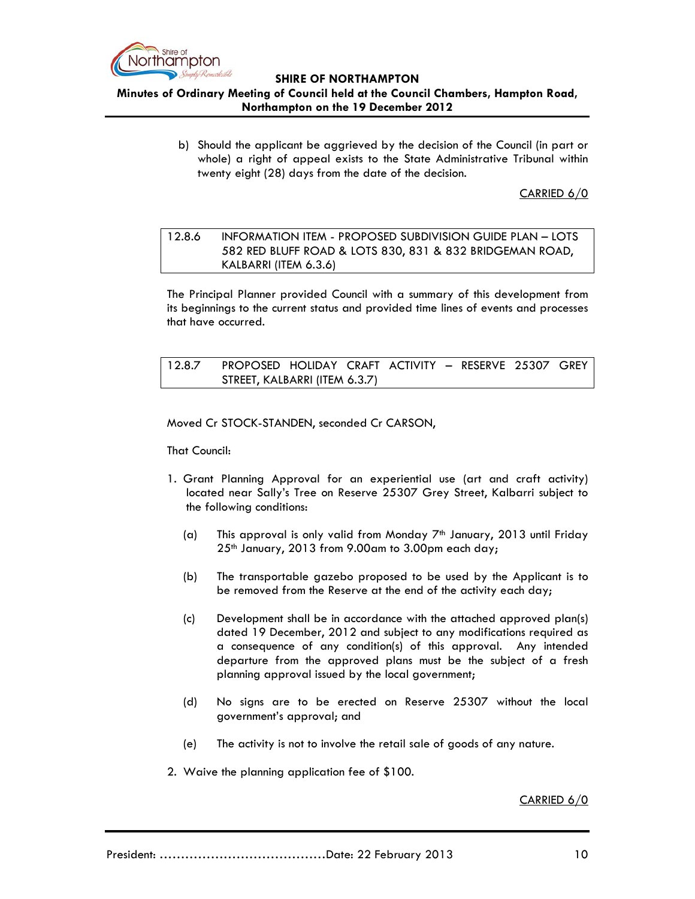

# **Minutes of Ordinary Meeting of Council held at the Council Chambers, Hampton Road, Northampton on the 19 December 2012**

b) Should the applicant be aggrieved by the decision of the Council (in part or whole) a right of appeal exists to the State Administrative Tribunal within twenty eight (28) days from the date of the decision.

CARRIED 6/0

# 12.8.6 INFORMATION ITEM - PROPOSED SUBDIVISION GUIDE PLAN – LOTS 582 RED BLUFF ROAD & LOTS 830, 831 & 832 BRIDGEMAN ROAD, KALBARRI (ITEM 6.3.6)

The Principal Planner provided Council with a summary of this development from its beginnings to the current status and provided time lines of events and processes that have occurred.

12.8.7 PROPOSED HOLIDAY CRAFT ACTIVITY – RESERVE 25307 GREY STREET, KALBARRI (ITEM 6.3.7)

Moved Cr STOCK-STANDEN, seconded Cr CARSON,

That Council:

- 1. Grant Planning Approval for an experiential use (art and craft activity) located near Sally's Tree on Reserve 25307 Grey Street, Kalbarri subject to the following conditions:
	- (a) This approval is only valid from Monday  $7<sup>th</sup>$  January, 2013 until Friday 25<sup>th</sup> January, 2013 from 9.00am to 3.00pm each day;
	- (b) The transportable gazebo proposed to be used by the Applicant is to be removed from the Reserve at the end of the activity each day;
	- (c) Development shall be in accordance with the attached approved plan(s) dated 19 December, 2012 and subject to any modifications required as a consequence of any condition(s) of this approval. Any intended departure from the approved plans must be the subject of a fresh planning approval issued by the local government;
	- (d) No signs are to be erected on Reserve 25307 without the local government's approval; and
	- (e) The activity is not to involve the retail sale of goods of any nature.
- 2. Waive the planning application fee of \$100.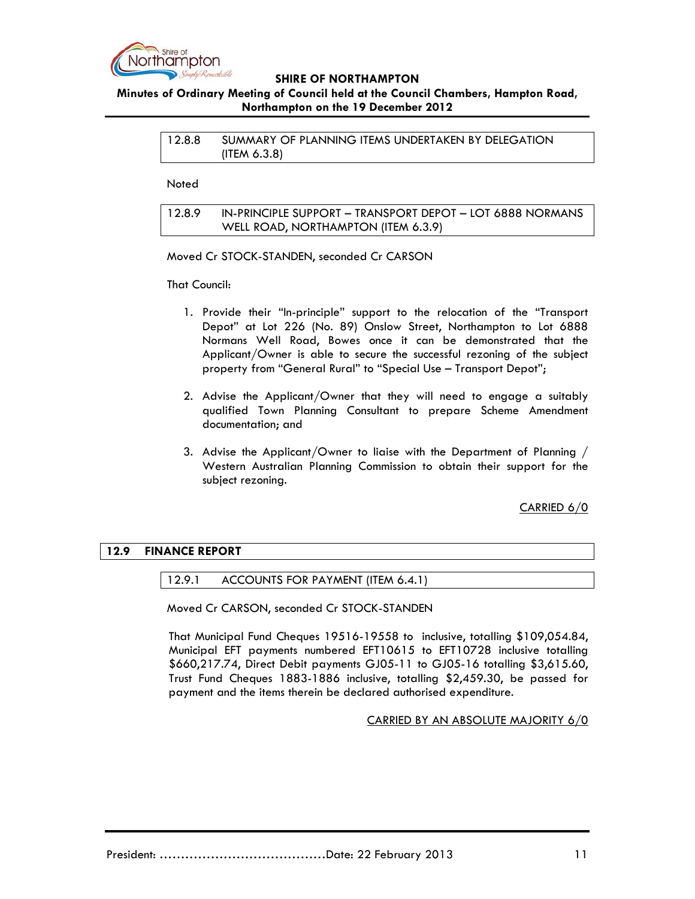

# **Minutes of Ordinary Meeting of Council held at the Council Chambers, Hampton Road, Northampton on the 19 December 2012**

12.8.8 SUMMARY OF PLANNING ITEMS UNDERTAKEN BY DELEGATION (ITEM 6.3.8)

**Noted** 

12.8.9 IN-PRINCIPLE SUPPORT – TRANSPORT DEPOT – LOT 6888 NORMANS WELL ROAD, NORTHAMPTON (ITEM 6.3.9)

Moved Cr STOCK-STANDEN, seconded Cr CARSON

That Council:

- 1. Provide their "In-principle" support to the relocation of the "Transport Depot" at Lot 226 (No. 89) Onslow Street, Northampton to Lot 6888 Normans Well Road, Bowes once it can be demonstrated that the Applicant/Owner is able to secure the successful rezoning of the subject property from "General Rural" to "Special Use – Transport Depot";
- 2. Advise the Applicant/Owner that they will need to engage a suitably qualified Town Planning Consultant to prepare Scheme Amendment documentation; and
- 3. Advise the Applicant/Owner to liaise with the Department of Planning / Western Australian Planning Commission to obtain their support for the subject rezoning.

CARRIED 6/0

# **12.9 FINANCE REPORT**

12.9.1 ACCOUNTS FOR PAYMENT (ITEM 6.4.1)

Moved Cr CARSON, seconded Cr STOCK-STANDEN

That Municipal Fund Cheques 19516-19558 to inclusive, totalling \$109,054.84, Municipal EFT payments numbered EFT10615 to EFT10728 inclusive totalling \$660,217.74, Direct Debit payments GJ05-11 to GJ05-16 totalling \$3,615.60, Trust Fund Cheques 1883-1886 inclusive, totalling \$2,459.30, be passed for payment and the items therein be declared authorised expenditure.

CARRIED BY AN ABSOLUTE MAJORITY 6/0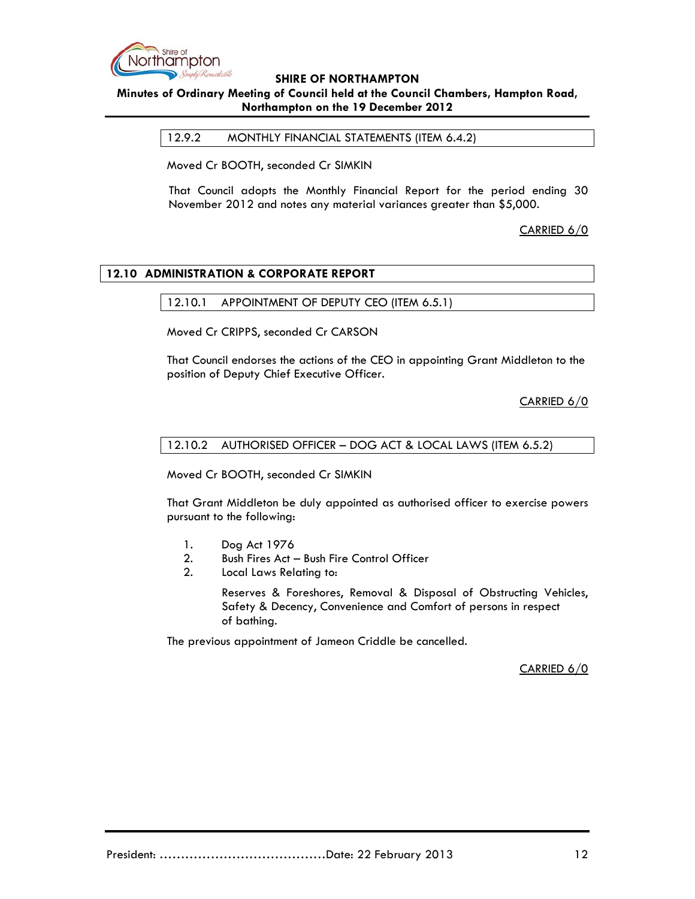

# **Minutes of Ordinary Meeting of Council held at the Council Chambers, Hampton Road, Northampton on the 19 December 2012**

12.9.2 MONTHLY FINANCIAL STATEMENTS (ITEM 6.4.2)

Moved Cr BOOTH, seconded Cr SIMKIN

That Council adopts the Monthly Financial Report for the period ending 30 November 2012 and notes any material variances greater than \$5,000.

CARRIED 6/0

# **12.10 ADMINISTRATION & CORPORATE REPORT**

## 12.10.1 APPOINTMENT OF DEPUTY CEO (ITEM 6.5.1)

Moved Cr CRIPPS, seconded Cr CARSON

That Council endorses the actions of the CEO in appointing Grant Middleton to the position of Deputy Chief Executive Officer.

CARRIED 6/0

## 12.10.2 AUTHORISED OFFICER – DOG ACT & LOCAL LAWS (ITEM 6.5.2)

Moved Cr BOOTH, seconded Cr SIMKIN

That Grant Middleton be duly appointed as authorised officer to exercise powers pursuant to the following:

- 1. Dog Act 1976
- 2. Bush Fires Act Bush Fire Control Officer
- 2. Local Laws Relating to:

 Reserves & Foreshores, Removal & Disposal of Obstructing Vehicles, Safety & Decency, Convenience and Comfort of persons in respect of bathing.

The previous appointment of Jameon Criddle be cancelled.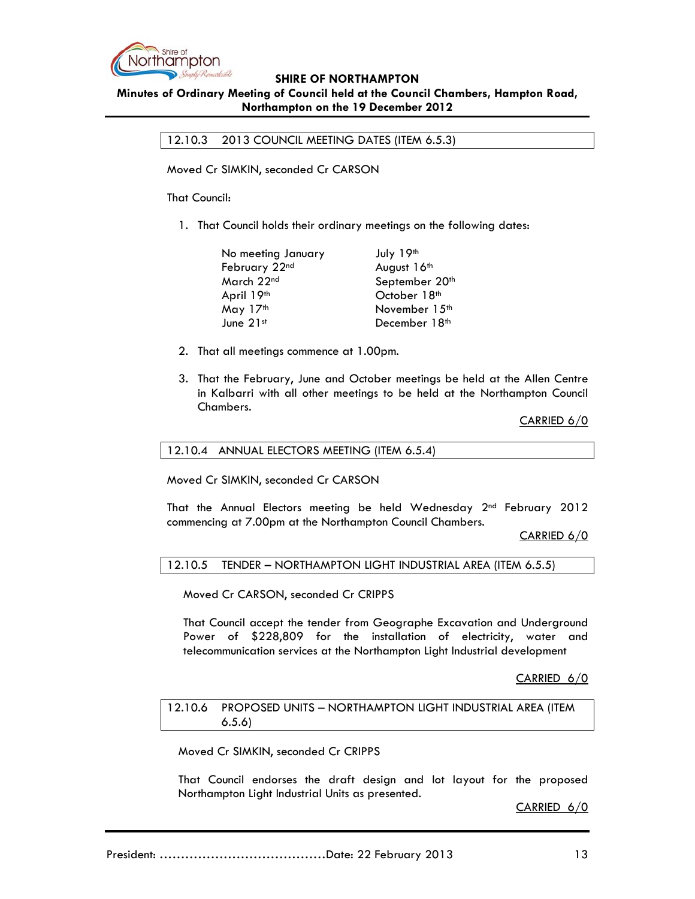

### **Minutes of Ordinary Meeting of Council held at the Council Chambers, Hampton Road, Northampton on the 19 December 2012**

12.10.3 2013 COUNCIL MEETING DATES (ITEM 6.5.3)

Moved Cr SIMKIN, seconded Cr CARSON

That Council:

1. That Council holds their ordinary meetings on the following dates:

| No meeting January      | July 19th                 |
|-------------------------|---------------------------|
| February 22nd           | August 16th               |
| March 22 <sup>nd</sup>  | September 20th            |
| April 19 <sup>th</sup>  | October 18 <sup>th</sup>  |
| May 17th                | November 15 <sup>th</sup> |
| June $21$ <sup>st</sup> | December 18 <sup>th</sup> |

- 2. That all meetings commence at 1.00pm.
- 3. That the February, June and October meetings be held at the Allen Centre in Kalbarri with all other meetings to be held at the Northampton Council Chambers.

CARRIED 6/0

#### 12.10.4 ANNUAL ELECTORS MEETING (ITEM 6.5.4)

Moved Cr SIMKIN, seconded Cr CARSON

That the Annual Electors meeting be held Wednesday 2<sup>nd</sup> February 2012 commencing at 7.00pm at the Northampton Council Chambers.

CARRIED 6/0

12.10.5 TENDER – NORTHAMPTON LIGHT INDUSTRIAL AREA (ITEM 6.5.5)

Moved Cr CARSON, seconded Cr CRIPPS

 That Council accept the tender from Geographe Excavation and Underground Power of \$228,809 for the installation of electricity, water and telecommunication services at the Northampton Light Industrial development

CARRIED 6/0

12.10.6 PROPOSED UNITS – NORTHAMPTON LIGHT INDUSTRIAL AREA (ITEM 6.5.6)

Moved Cr SIMKIN, seconded Cr CRIPPS

That Council endorses the draft design and lot layout for the proposed Northampton Light Industrial Units as presented.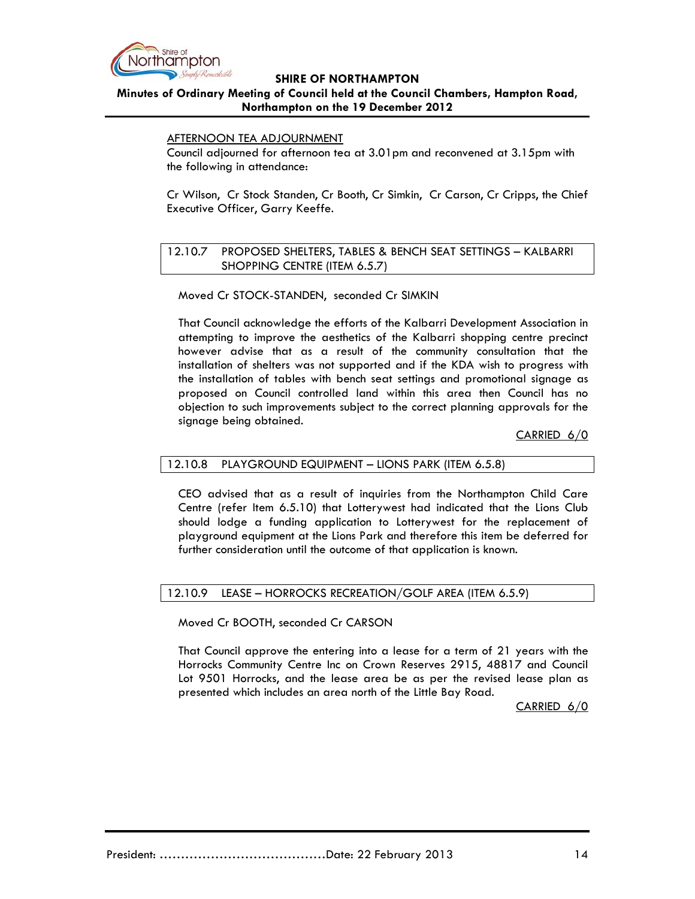

# **Minutes of Ordinary Meeting of Council held at the Council Chambers, Hampton Road, Northampton on the 19 December 2012**

## AFTERNOON TEA ADJOURNMENT

Council adjourned for afternoon tea at 3.01pm and reconvened at 3.15pm with the following in attendance:

Cr Wilson, Cr Stock Standen, Cr Booth, Cr Simkin, Cr Carson, Cr Cripps, the Chief Executive Officer, Garry Keeffe.

## 12.10.7 PROPOSED SHELTERS, TABLES & BENCH SEAT SETTINGS – KALBARRI SHOPPING CENTRE (ITEM 6.5.7)

Moved Cr STOCK-STANDEN, seconded Cr SIMKIN

That Council acknowledge the efforts of the Kalbarri Development Association in attempting to improve the aesthetics of the Kalbarri shopping centre precinct however advise that as a result of the community consultation that the installation of shelters was not supported and if the KDA wish to progress with the installation of tables with bench seat settings and promotional signage as proposed on Council controlled land within this area then Council has no objection to such improvements subject to the correct planning approvals for the signage being obtained.

CARRIED 6/0

# 12.10.8 PLAYGROUND EQUIPMENT – LIONS PARK (ITEM 6.5.8)

CEO advised that as a result of inquiries from the Northampton Child Care Centre (refer Item 6.5.10) that Lotterywest had indicated that the Lions Club should lodge a funding application to Lotterywest for the replacement of playground equipment at the Lions Park and therefore this item be deferred for further consideration until the outcome of that application is known.

### 12.10.9 LEASE – HORROCKS RECREATION/GOLF AREA (ITEM 6.5.9)

Moved Cr BOOTH, seconded Cr CARSON

That Council approve the entering into a lease for a term of 21 years with the Horrocks Community Centre Inc on Crown Reserves 2915, 48817 and Council Lot 9501 Horrocks, and the lease area be as per the revised lease plan as presented which includes an area north of the Little Bay Road.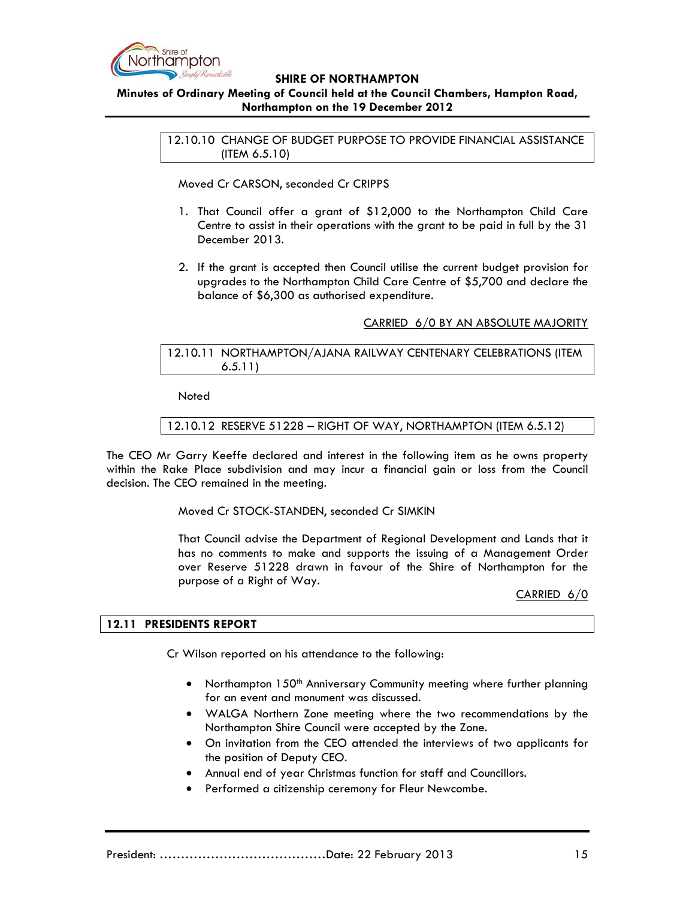

# **Minutes of Ordinary Meeting of Council held at the Council Chambers, Hampton Road, Northampton on the 19 December 2012**

12.10.10 CHANGE OF BUDGET PURPOSE TO PROVIDE FINANCIAL ASSISTANCE (ITEM 6.5.10)

Moved Cr CARSON, seconded Cr CRIPPS

- 1. That Council offer a grant of \$12,000 to the Northampton Child Care Centre to assist in their operations with the grant to be paid in full by the 31 December 2013.
- 2. If the grant is accepted then Council utilise the current budget provision for upgrades to the Northampton Child Care Centre of \$5,700 and declare the balance of \$6,300 as authorised expenditure.

## CARRIED 6/0 BY AN ABSOLUTE MAJORITY

## 12.10.11 NORTHAMPTON/AJANA RAILWAY CENTENARY CELEBRATIONS (ITEM 6.5.11)

**Noted** 

12.10.12 RESERVE 51228 – RIGHT OF WAY, NORTHAMPTON (ITEM 6.5.12)

The CEO Mr Garry Keeffe declared and interest in the following item as he owns property within the Rake Place subdivision and may incur a financial gain or loss from the Council decision. The CEO remained in the meeting.

Moved Cr STOCK-STANDEN, seconded Cr SIMKIN

That Council advise the Department of Regional Development and Lands that it has no comments to make and supports the issuing of a Management Order over Reserve 51228 drawn in favour of the Shire of Northampton for the purpose of a Right of Way.

CARRIED 6/0

### **12.11 PRESIDENTS REPORT**

Cr Wilson reported on his attendance to the following:

- Northampton 150<sup>th</sup> Anniversary Community meeting where further planning for an event and monument was discussed.
- WALGA Northern Zone meeting where the two recommendations by the Northampton Shire Council were accepted by the Zone.
- On invitation from the CEO attended the interviews of two applicants for the position of Deputy CEO.
- Annual end of year Christmas function for staff and Councillors.
- Performed a citizenship ceremony for Fleur Newcombe.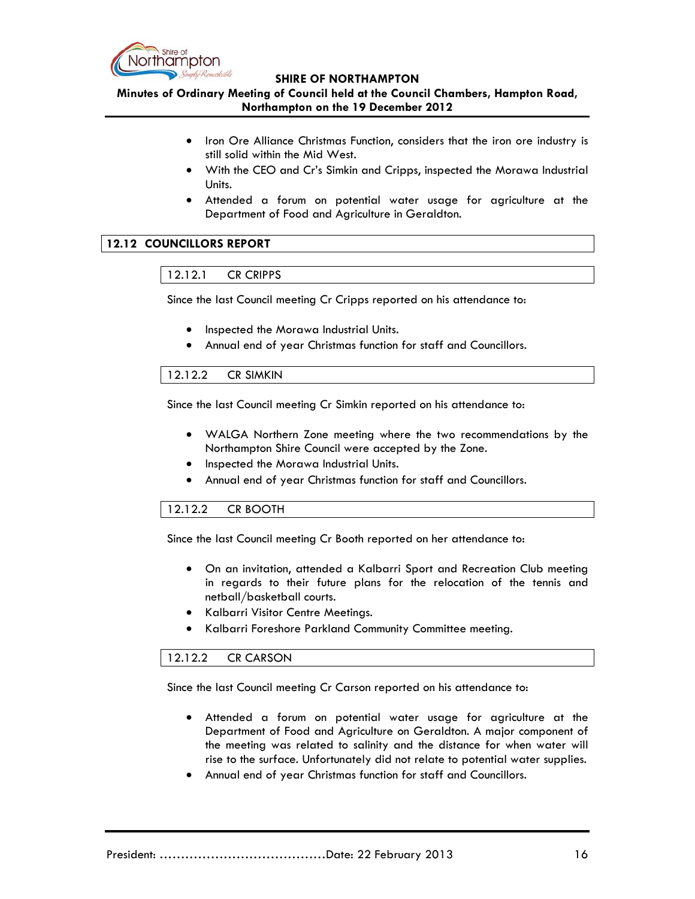

**Minutes of Ordinary Meeting of Council held at the Council Chambers, Hampton Road, Northampton on the 19 December 2012**

- Iron Ore Alliance Christmas Function, considers that the iron ore industry is still solid within the Mid West.
- With the CEO and Cr's Simkin and Cripps, inspected the Morawa Industrial Units.
- Attended a forum on potential water usage for agriculture at the Department of Food and Agriculture in Geraldton.

# **12.12 COUNCILLORS REPORT**

## 12.12.1 CR CRIPPS

Since the last Council meeting Cr Cripps reported on his attendance to:

- Inspected the Morawa Industrial Units.
- Annual end of year Christmas function for staff and Councillors.

## 12.12.2 CR SIMKIN

Since the last Council meeting Cr Simkin reported on his attendance to:

- WALGA Northern Zone meeting where the two recommendations by the Northampton Shire Council were accepted by the Zone.
- Inspected the Morawa Industrial Units.
- Annual end of year Christmas function for staff and Councillors.

# 12.12.2 CR BOOTH

Since the last Council meeting Cr Booth reported on her attendance to:

- On an invitation, attended a Kalbarri Sport and Recreation Club meeting in regards to their future plans for the relocation of the tennis and netball/basketball courts.
- Kalbarri Visitor Centre Meetings.
- Kalbarri Foreshore Parkland Community Committee meeting.

# 12.12.2 CR CARSON

Since the last Council meeting Cr Carson reported on his attendance to:

- Attended a forum on potential water usage for agriculture at the Department of Food and Agriculture on Geraldton. A major component of the meeting was related to salinity and the distance for when water will rise to the surface. Unfortunately did not relate to potential water supplies.
- Annual end of year Christmas function for staff and Councillors.